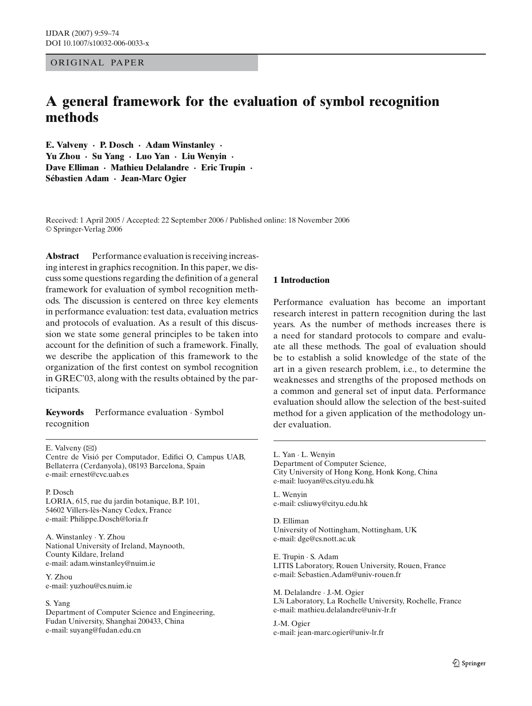ORIGINAL PAPER

# **A general framework for the evaluation of symbol recognition methods**

**E. Valveny · P. Dosch · Adam Winstanley · Yu Zhou · Su Yang · Luo Yan · Liu Wenyin · Dave Elliman · Mathieu Delalandre · Eric Trupin · Sébastien Adam · Jean-Marc Ogier**

Received: 1 April 2005 / Accepted: 22 September 2006 / Published online: 18 November 2006 © Springer-Verlag 2006

**Abstract** Performance evaluation is receiving increasing interest in graphics recognition. In this paper, we discuss some questions regarding the definition of a general framework for evaluation of symbol recognition methods. The discussion is centered on three key elements in performance evaluation: test data, evaluation metrics and protocols of evaluation. As a result of this discussion we state some general principles to be taken into account for the definition of such a framework. Finally, we describe the application of this framework to the organization of the first contest on symbol recognition in GREC'03, along with the results obtained by the participants.

**Keywords** Performance evaluation · Symbol recognition

E. Valveny  $(\boxtimes)$ Centre de Visió per Computador, Edifici O, Campus UAB, Bellaterra (Cerdanyola), 08193 Barcelona, Spain e-mail: ernest@cvc.uab.es

P. Dosch LORIA, 615, rue du jardin botanique, B.P. 101, 54602 Villers-lès-Nancy Cedex, France e-mail: Philippe.Dosch@loria.fr

A. Winstanley · Y. Zhou National University of Ireland, Maynooth, County Kildare, Ireland e-mail: adam.winstanley@nuim.ie

Y. Zhou e-mail: yuzhou@cs.nuim.ie

#### S. Yang

Department of Computer Science and Engineering, Fudan University, Shanghai 200433, China e-mail: suyang@fudan.edu.cn

## <span id="page-0-0"></span>**1 Introduction**

Performance evaluation has become an important research interest in pattern recognition during the last years. As the number of methods increases there is a need for standard protocols to compare and evaluate all these methods. The goal of evaluation should be to establish a solid knowledge of the state of the art in a given research problem, i.e., to determine the weaknesses and strengths of the proposed methods on a common and general set of input data. Performance evaluation should allow the selection of the best-suited method for a given application of the methodology under evaluation.

L. Yan · L. Wenyin Department of Computer Science, City University of Hong Kong, Honk Kong, China e-mail: luoyan@cs.cityu.edu.hk

L. Wenyin e-mail: csliuwy@cityu.edu.hk

D. Elliman University of Nottingham, Nottingham, UK e-mail: dge@cs.nott.ac.uk

E. Trupin · S. Adam LITIS Laboratory, Rouen University, Rouen, France e-mail: Sebastien.Adam@univ-rouen.fr

M. Delalandre · J.-M. Ogier L3i Laboratory, La Rochelle University, Rochelle, France e-mail: mathieu.delalandre@univ-lr.fr

J.-M. Ogier e-mail: jean-marc.ogier@univ-lr.fr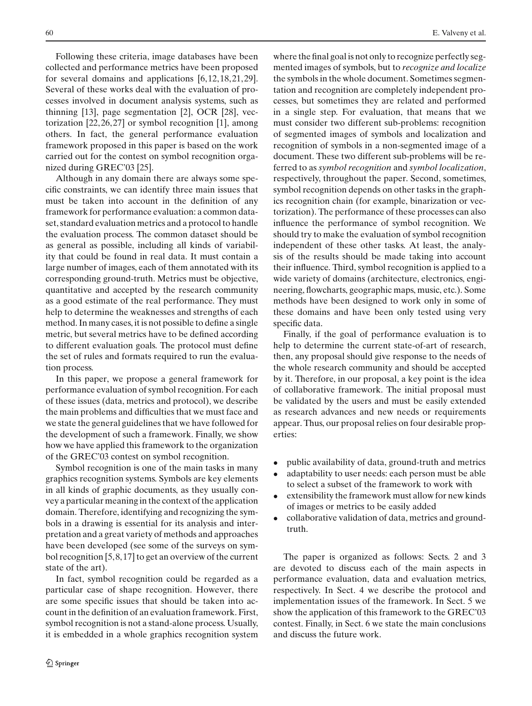Following these criteria, image databases have been collected and performance metrics have been proposed for several domains and applications [\[6,](#page-15-0) [12](#page-15-1)[, 18](#page-15-2), [21](#page-15-3)[, 29](#page-15-4)]. Several of these works deal with the evaluation of processes involved in document analysis systems, such as thinning [\[13\]](#page-15-5), page segmentation [\[2](#page-15-6)], OCR [\[28](#page-15-7)], vectorization [\[22,](#page-15-8) [26](#page-15-9), [27\]](#page-15-10) or symbol recognition [\[1\]](#page-15-11), among others. In fact, the general performance evaluation framework proposed in this paper is based on the work carried out for the contest on symbol recognition organized during GREC'03 [\[25](#page-15-12)].

Although in any domain there are always some specific constraints, we can identify three main issues that must be taken into account in the definition of any framework for performance evaluation: a common dataset, standard evaluation metrics and a protocol to handle the evaluation process. The common dataset should be as general as possible, including all kinds of variability that could be found in real data. It must contain a large number of images, each of them annotated with its corresponding ground-truth. Metrics must be objective, quantitative and accepted by the research community as a good estimate of the real performance. They must help to determine the weaknesses and strengths of each method. In many cases, it is not possible to define a single metric, but several metrics have to be defined according to different evaluation goals. The protocol must define the set of rules and formats required to run the evaluation process.

In this paper, we propose a general framework for performance evaluation of symbol recognition. For each of these issues (data, metrics and protocol), we describe the main problems and difficulties that we must face and we state the general guidelines that we have followed for the development of such a framework. Finally, we show how we have applied this framework to the organization of the GREC'03 contest on symbol recognition.

Symbol recognition is one of the main tasks in many graphics recognition systems. Symbols are key elements in all kinds of graphic documents, as they usually convey a particular meaning in the context of the application domain. Therefore, identifying and recognizing the symbols in a drawing is essential for its analysis and interpretation and a great variety of methods and approaches have been developed (see some of the surveys on symbol recognition [\[5](#page-15-13)[, 8](#page-15-14), [17\]](#page-15-15) to get an overview of the current state of the art).

In fact, symbol recognition could be regarded as a particular case of shape recognition. However, there are some specific issues that should be taken into account in the definition of an evaluation framework. First, symbol recognition is not a stand-alone process. Usually, it is embedded in a whole graphics recognition system where the final goal is not only to recognize perfectly segmented images of symbols, but to *recognize and localize* the symbols in the whole document. Sometimes segmentation and recognition are completely independent processes, but sometimes they are related and performed in a single step. For evaluation, that means that we must consider two different sub-problems: recognition of segmented images of symbols and localization and recognition of symbols in a non-segmented image of a document. These two different sub-problems will be referred to as *symbol recognition* and *symbol localization*, respectively, throughout the paper. Second, sometimes, symbol recognition depends on other tasks in the graphics recognition chain (for example, binarization or vectorization). The performance of these processes can also influence the performance of symbol recognition. We should try to make the evaluation of symbol recognition independent of these other tasks. At least, the analysis of the results should be made taking into account their influence. Third, symbol recognition is applied to a wide variety of domains (architecture, electronics, engineering, flowcharts, geographic maps, music, etc.). Some methods have been designed to work only in some of these domains and have been only tested using very specific data.

Finally, if the goal of performance evaluation is to help to determine the current state-of-art of research, then, any proposal should give response to the needs of the whole research community and should be accepted by it. Therefore, in our proposal, a key point is the idea of collaborative framework. The initial proposal must be validated by the users and must be easily extended as research advances and new needs or requirements appear. Thus, our proposal relies on four desirable properties:

- public availability of data, ground-truth and metrics
- adaptability to user needs: each person must be able to select a subset of the framework to work with
- extensibility the framework must allow for new kinds of images or metrics to be easily added
- collaborative validation of data, metrics and groundtruth.

The paper is organized as follows: Sects. [2](#page-2-0) and [3](#page-4-0) are devoted to discuss each of the main aspects in performance evaluation, data and evaluation metrics, respectively. In Sect. [4](#page-7-0) we describe the protocol and implementation issues of the framework. In Sect. [5](#page-10-0) we show the application of this framework to the GREC'03 contest. Finally, in Sect. [6](#page-13-0) we state the main conclusions and discuss the future work.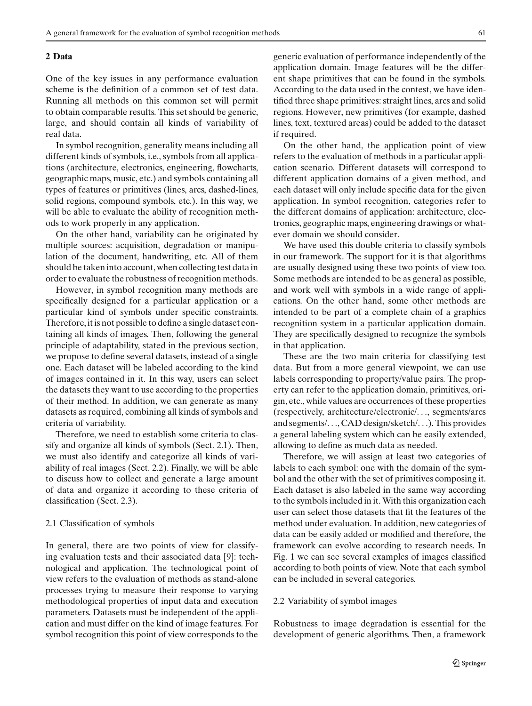## <span id="page-2-0"></span>**2 Data**

One of the key issues in any performance evaluation scheme is the definition of a common set of test data. Running all methods on this common set will permit to obtain comparable results. This set should be generic, large, and should contain all kinds of variability of real data.

In symbol recognition, generality means including all different kinds of symbols, i.e., symbols from all applications (architecture, electronics, engineering, flowcharts, geographic maps, music, etc.) and symbols containing all types of features or primitives (lines, arcs, dashed-lines, solid regions, compound symbols, etc.). In this way, we will be able to evaluate the ability of recognition methods to work properly in any application.

On the other hand, variability can be originated by multiple sources: acquisition, degradation or manipulation of the document, handwriting, etc. All of them should be taken into account, when collecting test data in order to evaluate the robustness of recognition methods.

However, in symbol recognition many methods are specifically designed for a particular application or a particular kind of symbols under specific constraints. Therefore, it is not possible to define a single dataset containing all kinds of images. Then, following the general principle of adaptability, stated in the previous section, we propose to define several datasets, instead of a single one. Each dataset will be labeled according to the kind of images contained in it. In this way, users can select the datasets they want to use according to the properties of their method. In addition, we can generate as many datasets as required, combining all kinds of symbols and criteria of variability.

Therefore, we need to establish some criteria to classify and organize all kinds of symbols (Sect. [2.1\)](#page-2-1). Then, we must also identify and categorize all kinds of variability of real images (Sect. [2.2\)](#page-2-2). Finally, we will be able to discuss how to collect and generate a large amount of data and organize it according to these criteria of classification (Sect. [2.3\)](#page-3-0).

#### <span id="page-2-1"></span>2.1 Classification of symbols

In general, there are two points of view for classifying evaluation tests and their associated data [\[9\]](#page-15-16): technological and application. The technological point of view refers to the evaluation of methods as stand-alone processes trying to measure their response to varying methodological properties of input data and execution parameters. Datasets must be independent of the application and must differ on the kind of image features. For symbol recognition this point of view corresponds to the generic evaluation of performance independently of the application domain. Image features will be the different shape primitives that can be found in the symbols. According to the data used in the contest, we have identified three shape primitives: straight lines, arcs and solid regions. However, new primitives (for example, dashed lines, text, textured areas) could be added to the dataset if required.

On the other hand, the application point of view refers to the evaluation of methods in a particular application scenario. Different datasets will correspond to different application domains of a given method, and each dataset will only include specific data for the given application. In symbol recognition, categories refer to the different domains of application: architecture, electronics, geographic maps, engineering drawings or whatever domain we should consider.

We have used this double criteria to classify symbols in our framework. The support for it is that algorithms are usually designed using these two points of view too. Some methods are intended to be as general as possible, and work well with symbols in a wide range of applications. On the other hand, some other methods are intended to be part of a complete chain of a graphics recognition system in a particular application domain. They are specifically designed to recognize the symbols in that application.

These are the two main criteria for classifying test data. But from a more general viewpoint, we can use labels corresponding to property/value pairs. The property can refer to the application domain, primitives, origin, etc., while values are occurrences of these properties (respectively, architecture/electronic/*...*, segments/arcs and segments/*...*, CAD design/sketch/*...*). This provides a general labeling system which can be easily extended, allowing to define as much data as needed.

Therefore, we will assign at least two categories of labels to each symbol: one with the domain of the symbol and the other with the set of primitives composing it. Each dataset is also labeled in the same way according to the symbols included in it. With this organization each user can select those datasets that fit the features of the method under evaluation. In addition, new categories of data can be easily added or modified and therefore, the framework can evolve according to research needs. In Fig. [1](#page-3-1) we can see several examples of images classified according to both points of view. Note that each symbol can be included in several categories.

#### <span id="page-2-2"></span>2.2 Variability of symbol images

Robustness to image degradation is essential for the development of generic algorithms. Then, a framework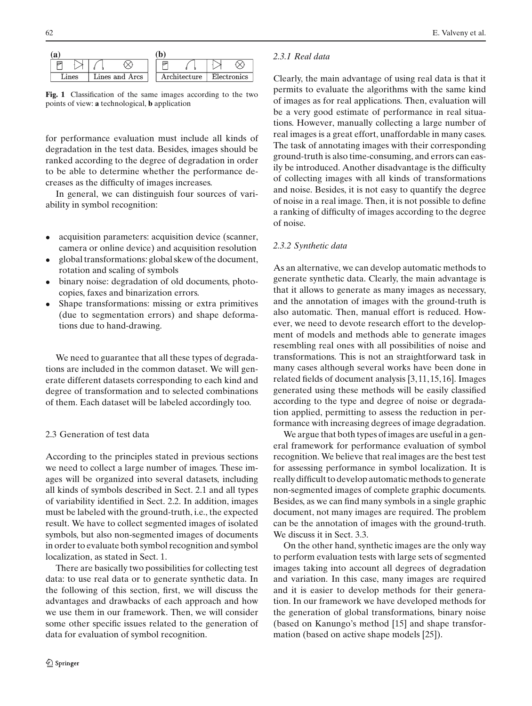

<span id="page-3-1"></span>**Fig. 1** Classification of the same images according to the two points of view: **a** technological, **b** application

for performance evaluation must include all kinds of degradation in the test data. Besides, images should be ranked according to the degree of degradation in order to be able to determine whether the performance decreases as the difficulty of images increases.

In general, we can distinguish four sources of variability in symbol recognition:

- acquisition parameters: acquisition device (scanner, camera or online device) and acquisition resolution
- global transformations: global skew of the document, rotation and scaling of symbols
- binary noise: degradation of old documents, photocopies, faxes and binarization errors.
- Shape transformations: missing or extra primitives (due to segmentation errors) and shape deformations due to hand-drawing.

We need to guarantee that all these types of degradations are included in the common dataset. We will generate different datasets corresponding to each kind and degree of transformation and to selected combinations of them. Each dataset will be labeled accordingly too.

## <span id="page-3-0"></span>2.3 Generation of test data

According to the principles stated in previous sections we need to collect a large number of images. These images will be organized into several datasets, including all kinds of symbols described in Sect. [2.1](#page-2-1) and all types of variability identified in Sect. [2.2.](#page-2-2) In addition, images must be labeled with the ground-truth, i.e., the expected result. We have to collect segmented images of isolated symbols, but also non-segmented images of documents in order to evaluate both symbol recognition and symbol localization, as stated in Sect. [1.](#page-0-0)

There are basically two possibilities for collecting test data: to use real data or to generate synthetic data. In the following of this section, first, we will discuss the advantages and drawbacks of each approach and how we use them in our framework. Then, we will consider some other specific issues related to the generation of data for evaluation of symbol recognition.

# *2.3.1 Real data*

Clearly, the main advantage of using real data is that it permits to evaluate the algorithms with the same kind of images as for real applications. Then, evaluation will be a very good estimate of performance in real situations. However, manually collecting a large number of real images is a great effort, unaffordable in many cases. The task of annotating images with their corresponding ground-truth is also time-consuming, and errors can easily be introduced. Another disadvantage is the difficulty of collecting images with all kinds of transformations and noise. Besides, it is not easy to quantify the degree of noise in a real image. Then, it is not possible to define a ranking of difficulty of images according to the degree of noise.

## *2.3.2 Synthetic data*

As an alternative, we can develop automatic methods to generate synthetic data. Clearly, the main advantage is that it allows to generate as many images as necessary, and the annotation of images with the ground-truth is also automatic. Then, manual effort is reduced. However, we need to devote research effort to the development of models and methods able to generate images resembling real ones with all possibilities of noise and transformations. This is not an straightforward task in many cases although several works have been done in related fields of document analysis [\[3](#page-15-17)[, 11](#page-15-18), [15](#page-15-19)[, 16](#page-15-20)]. Images generated using these methods will be easily classified according to the type and degree of noise or degradation applied, permitting to assess the reduction in performance with increasing degrees of image degradation.

We argue that both types of images are useful in a general framework for performance evaluation of symbol recognition. We believe that real images are the best test for assessing performance in symbol localization. It is really difficult to develop automatic methods to generate non-segmented images of complete graphic documents. Besides, as we can find many symbols in a single graphic document, not many images are required. The problem can be the annotation of images with the ground-truth. We discuss it in Sect. [3.3.](#page-6-0)

On the other hand, synthetic images are the only way to perform evaluation tests with large sets of segmented images taking into account all degrees of degradation and variation. In this case, many images are required and it is easier to develop methods for their generation. In our framework we have developed methods for the generation of global transformations, binary noise (based on Kanungo's method [\[15](#page-15-19)] and shape transformation (based on active shape models [\[25](#page-15-12)]).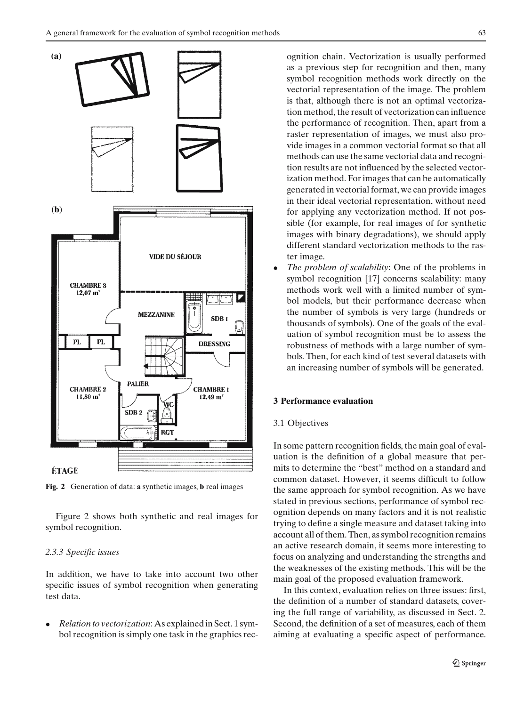

<span id="page-4-1"></span>**Fig. 2** Generation of data: **a** synthetic images, **b** real images

Figure [2](#page-4-1) shows both synthetic and real images for symbol recognition.

### *2.3.3 Specific issues*

In addition, we have to take into account two other specific issues of symbol recognition when generating test data.

• *Relation to vectorization*: As explained in Sect. [1](#page-0-0) symbol recognition is simply one task in the graphics rec-

ognition chain. Vectorization is usually performed as a previous step for recognition and then, many symbol recognition methods work directly on the vectorial representation of the image. The problem is that, although there is not an optimal vectorization method, the result of vectorization can influence the performance of recognition. Then, apart from a raster representation of images, we must also provide images in a common vectorial format so that all methods can use the same vectorial data and recognition results are not influenced by the selected vectorization method. For images that can be automatically generated in vectorial format, we can provide images in their ideal vectorial representation, without need for applying any vectorization method. If not possible (for example, for real images of for synthetic images with binary degradations), we should apply different standard vectorization methods to the raster image.

• *The problem of scalability*: One of the problems in symbol recognition [\[17](#page-15-15)] concerns scalability: many methods work well with a limited number of symbol models, but their performance decrease when the number of symbols is very large (hundreds or thousands of symbols). One of the goals of the evaluation of symbol recognition must be to assess the robustness of methods with a large number of symbols. Then, for each kind of test several datasets with an increasing number of symbols will be generated.

# <span id="page-4-0"></span>**3 Performance evaluation**

## 3.1 Objectives

In some pattern recognition fields, the main goal of evaluation is the definition of a global measure that permits to determine the "best" method on a standard and common dataset. However, it seems difficult to follow the same approach for symbol recognition. As we have stated in previous sections, performance of symbol recognition depends on many factors and it is not realistic trying to define a single measure and dataset taking into account all of them. Then, as symbol recognition remains an active research domain, it seems more interesting to focus on analyzing and understanding the strengths and the weaknesses of the existing methods. This will be the main goal of the proposed evaluation framework.

In this context, evaluation relies on three issues: first, the definition of a number of standard datasets, covering the full range of variability, as discussed in Sect. [2.](#page-2-0) Second, the definition of a set of measures, each of them aiming at evaluating a specific aspect of performance.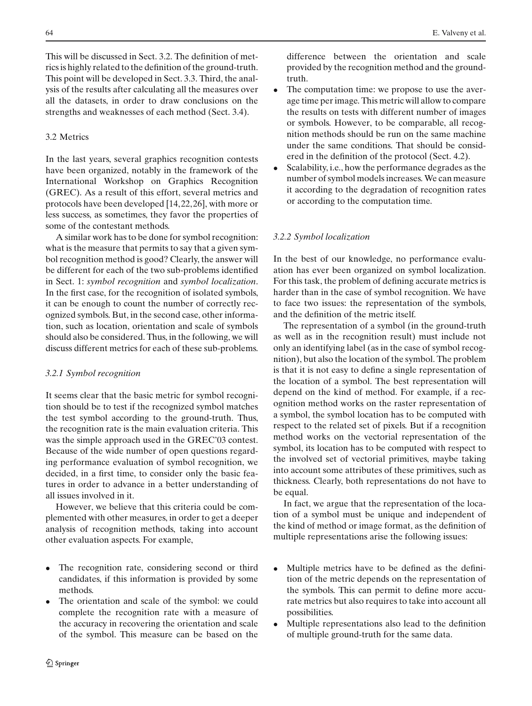This will be discussed in Sect. [3.2.](#page-5-0) The definition of metrics is highly related to the definition of the ground-truth. This point will be developed in Sect. [3.3.](#page-6-0) Third, the analysis of the results after calculating all the measures over all the datasets, in order to draw conclusions on the strengths and weaknesses of each method (Sect. [3.4\)](#page-7-1).

# <span id="page-5-0"></span>3.2 Metrics

In the last years, several graphics recognition contests have been organized, notably in the framework of the International Workshop on Graphics Recognition (GREC). As a result of this effort, several metrics and protocols have been developed [\[14](#page-15-21), [22](#page-15-8)[, 26](#page-15-9)], with more or less success, as sometimes, they favor the properties of some of the contestant methods.

A similar work has to be done for symbol recognition: what is the measure that permits to say that a given symbol recognition method is good? Clearly, the answer will be different for each of the two sub-problems identified in Sect. [1:](#page-0-0) *symbol recognition* and *symbol localization*. In the first case, for the recognition of isolated symbols, it can be enough to count the number of correctly recognized symbols. But, in the second case, other information, such as location, orientation and scale of symbols should also be considered. Thus, in the following, we will discuss different metrics for each of these sub-problems.

### *3.2.1 Symbol recognition*

It seems clear that the basic metric for symbol recognition should be to test if the recognized symbol matches the test symbol according to the ground-truth. Thus, the recognition rate is the main evaluation criteria. This was the simple approach used in the GREC'03 contest. Because of the wide number of open questions regarding performance evaluation of symbol recognition, we decided, in a first time, to consider only the basic features in order to advance in a better understanding of all issues involved in it.

However, we believe that this criteria could be complemented with other measures, in order to get a deeper analysis of recognition methods, taking into account other evaluation aspects. For example,

- The recognition rate, considering second or third candidates, if this information is provided by some methods.
- The orientation and scale of the symbol: we could complete the recognition rate with a measure of the accuracy in recovering the orientation and scale of the symbol. This measure can be based on the

difference between the orientation and scale provided by the recognition method and the groundtruth.

- The computation time: we propose to use the average time per image. This metric will allow to compare the results on tests with different number of images or symbols. However, to be comparable, all recognition methods should be run on the same machine under the same conditions. That should be considered in the definition of the protocol (Sect. [4.2\)](#page-7-2).
- Scalability, i.e., how the performance degrades as the number of symbol models increases. We can measure it according to the degradation of recognition rates or according to the computation time.

#### *3.2.2 Symbol localization*

In the best of our knowledge, no performance evaluation has ever been organized on symbol localization. For this task, the problem of defining accurate metrics is harder than in the case of symbol recognition. We have to face two issues: the representation of the symbols, and the definition of the metric itself.

The representation of a symbol (in the ground-truth as well as in the recognition result) must include not only an identifying label (as in the case of symbol recognition), but also the location of the symbol. The problem is that it is not easy to define a single representation of the location of a symbol. The best representation will depend on the kind of method. For example, if a recognition method works on the raster representation of a symbol, the symbol location has to be computed with respect to the related set of pixels. But if a recognition method works on the vectorial representation of the symbol, its location has to be computed with respect to the involved set of vectorial primitives, maybe taking into account some attributes of these primitives, such as thickness. Clearly, both representations do not have to be equal.

In fact, we argue that the representation of the location of a symbol must be unique and independent of the kind of method or image format, as the definition of multiple representations arise the following issues:

- Multiple metrics have to be defined as the definition of the metric depends on the representation of the symbols. This can permit to define more accurate metrics but also requires to take into account all possibilities.
- Multiple representations also lead to the definition of multiple ground-truth for the same data.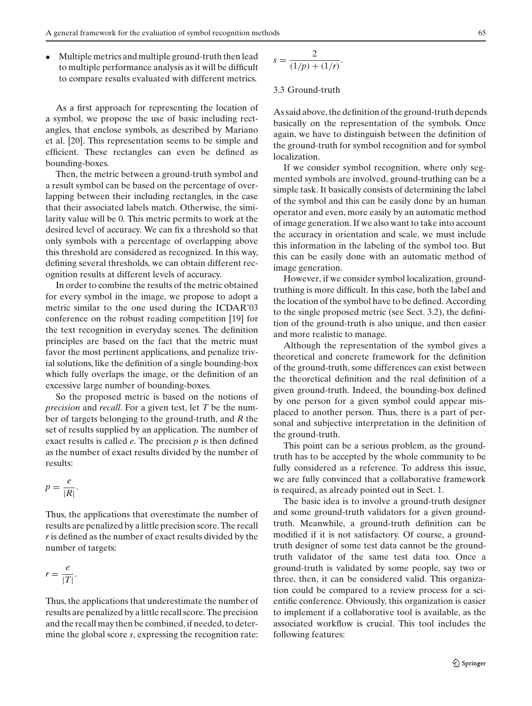• Multiple metrics and multiple ground-truth then lead to multiple performance analysis as it will be difficult to compare results evaluated with different metrics.

As a first approach for representing the location of a symbol, we propose the use of basic including rectangles, that enclose symbols, as described by Mariano et al. [\[20](#page-15-22)]. This representation seems to be simple and efficient. These rectangles can even be defined as bounding-boxes.

Then, the metric between a ground-truth symbol and a result symbol can be based on the percentage of overlapping between their including rectangles, in the case that their associated labels match. Otherwise, the similarity value will be 0. This metric permits to work at the desired level of accuracy. We can fix a threshold so that only symbols with a percentage of overlapping above this threshold are considered as recognized. In this way, defining several thresholds, we can obtain different recognition results at different levels of accuracy.

In order to combine the results of the metric obtained for every symbol in the image, we propose to adopt a metric similar to the one used during the ICDAR'03 conference on the robust reading competition [\[19\]](#page-15-23) for the text recognition in everyday scenes. The definition principles are based on the fact that the metric must favor the most pertinent applications, and penalize trivial solutions, like the definition of a single bounding-box which fully overlaps the image, or the definition of an excessive large number of bounding-boxes.

So the proposed metric is based on the notions of *precision* and *recall*. For a given test, let *T* be the number of targets belonging to the ground-truth, and *R* the set of results supplied by an application. The number of exact results is called *e*. The precision *p* is then defined as the number of exact results divided by the number of results:

$$
p = \frac{e}{|R|}.
$$

Thus, the applications that overestimate the number of results are penalized by a little precision score. The recall *r* is defined as the number of exact results divided by the number of targets:

$$
r=\frac{e}{|T|}.
$$

Thus, the applications that underestimate the number of results are penalized by a little recall score. The precision and the recall may then be combined, if needed, to determine the global score *s*, expressing the recognition rate:

$$
s = \frac{2}{(1/p) + (1/r)}.
$$

## <span id="page-6-0"></span>3.3 Ground-truth

As said above, the definition of the ground-truth depends basically on the representation of the symbols. Once again, we have to distinguish between the definition of the ground-truth for symbol recognition and for symbol localization.

If we consider symbol recognition, where only segmented symbols are involved, ground-truthing can be a simple task. It basically consists of determining the label of the symbol and this can be easily done by an human operator and even, more easily by an automatic method of image generation. If we also want to take into account the accuracy in orientation and scale, we must include this information in the labeling of the symbol too. But this can be easily done with an automatic method of image generation.

However, if we consider symbol localization, groundtruthing is more difficult. In this case, both the label and the location of the symbol have to be defined. According to the single proposed metric (see Sect. [3.2\)](#page-5-0), the definition of the ground-truth is also unique, and then easier and more realistic to manage.

Although the representation of the symbol gives a theoretical and concrete framework for the definition of the ground-truth, some differences can exist between the theoretical definition and the real definition of a given ground-truth. Indeed, the bounding-box defined by one person for a given symbol could appear misplaced to another person. Thus, there is a part of personal and subjective interpretation in the definition of the ground-truth.

This point can be a serious problem, as the groundtruth has to be accepted by the whole community to be fully considered as a reference. To address this issue, we are fully convinced that a collaborative framework is required, as already pointed out in Sect. [1.](#page-0-0)

The basic idea is to involve a ground-truth designer and some ground-truth validators for a given groundtruth. Meanwhile, a ground-truth definition can be modified if it is not satisfactory. Of course, a groundtruth designer of some test data cannot be the groundtruth validator of the same test data too. Once a ground-truth is validated by some people, say two or three, then, it can be considered valid. This organization could be compared to a review process for a scientific conference. Obviously, this organization is easier to implement if a collaborative tool is available, as the associated workflow is crucial. This tool includes the following features: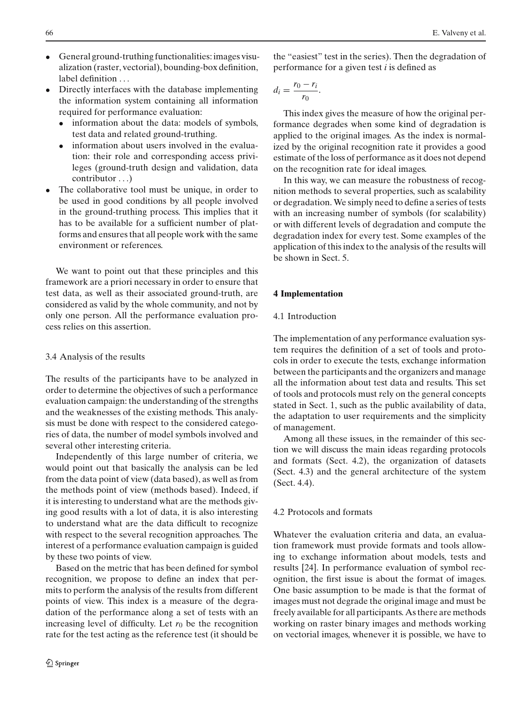- General ground-truthing functionalities: images visualization (raster, vectorial), bounding-box definition, label definition *...*
- Directly interfaces with the database implementing the information system containing all information required for performance evaluation:
	- information about the data: models of symbols, test data and related ground-truthing.
	- information about users involved in the evaluation: their role and corresponding access privileges (ground-truth design and validation, data contributor *...*)
- The collaborative tool must be unique, in order to be used in good conditions by all people involved in the ground-truthing process. This implies that it has to be available for a sufficient number of platforms and ensures that all people work with the same environment or references.

We want to point out that these principles and this framework are a priori necessary in order to ensure that test data, as well as their associated ground-truth, are considered as valid by the whole community, and not by only one person. All the performance evaluation process relies on this assertion.

## <span id="page-7-1"></span>3.4 Analysis of the results

The results of the participants have to be analyzed in order to determine the objectives of such a performance evaluation campaign: the understanding of the strengths and the weaknesses of the existing methods. This analysis must be done with respect to the considered categories of data, the number of model symbols involved and several other interesting criteria.

Independently of this large number of criteria, we would point out that basically the analysis can be led from the data point of view (data based), as well as from the methods point of view (methods based). Indeed, if it is interesting to understand what are the methods giving good results with a lot of data, it is also interesting to understand what are the data difficult to recognize with respect to the several recognition approaches. The interest of a performance evaluation campaign is guided by these two points of view.

Based on the metric that has been defined for symbol recognition, we propose to define an index that permits to perform the analysis of the results from different points of view. This index is a measure of the degradation of the performance along a set of tests with an increasing level of difficulty. Let  $r_0$  be the recognition rate for the test acting as the reference test (it should be

the "easiest" test in the series). Then the degradation of performance for a given test *i* is defined as

$$
d_i = \frac{r_0 - r_i}{r_0}.
$$

This index gives the measure of how the original performance degrades when some kind of degradation is applied to the original images. As the index is normalized by the original recognition rate it provides a good estimate of the loss of performance as it does not depend on the recognition rate for ideal images.

In this way, we can measure the robustness of recognition methods to several properties, such as scalability or degradation. We simply need to define a series of tests with an increasing number of symbols (for scalability) or with different levels of degradation and compute the degradation index for every test. Some examples of the application of this index to the analysis of the results will be shown in Sect. [5.](#page-10-0)

# <span id="page-7-0"></span>**4 Implementation**

## 4.1 Introduction

The implementation of any performance evaluation system requires the definition of a set of tools and protocols in order to execute the tests, exchange information between the participants and the organizers and manage all the information about test data and results. This set of tools and protocols must rely on the general concepts stated in Sect. [1,](#page-0-0) such as the public availability of data, the adaptation to user requirements and the simplicity of management.

Among all these issues, in the remainder of this section we will discuss the main ideas regarding protocols and formats (Sect. [4.2\)](#page-7-2), the organization of datasets (Sect. [4.3\)](#page-9-0) and the general architecture of the system (Sect. [4.4\)](#page-9-1).

## <span id="page-7-2"></span>4.2 Protocols and formats

Whatever the evaluation criteria and data, an evaluation framework must provide formats and tools allowing to exchange information about models, tests and results [\[24](#page-15-24)]. In performance evaluation of symbol recognition, the first issue is about the format of images. One basic assumption to be made is that the format of images must not degrade the original image and must be freely available for all participants. As there are methods working on raster binary images and methods working on vectorial images, whenever it is possible, we have to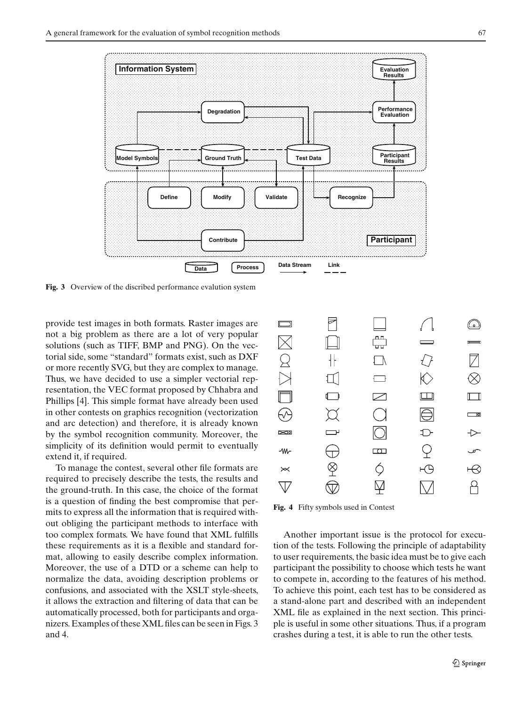

<span id="page-8-0"></span>**Fig. 3** Overview of the discribed performance evalution system

provide test images in both formats. Raster images are not a big problem as there are a lot of very popular solutions (such as TIFF, BMP and PNG). On the vectorial side, some "standard" formats exist, such as DXF or more recently SVG, but they are complex to manage. Thus, we have decided to use a simpler vectorial representation, the VEC format proposed by Chhabra and Phillips [\[4](#page-15-25)]. This simple format have already been used in other contests on graphics recognition (vectorization and arc detection) and therefore, it is already known by the symbol recognition community. Moreover, the simplicity of its definition would permit to eventually extend it, if required.

To manage the contest, several other file formats are required to precisely describe the tests, the results and the ground-truth. In this case, the choice of the format is a question of finding the best compromise that permits to express all the information that is required without obliging the participant methods to interface with too complex formats. We have found that XML fulfills these requirements as it is a flexible and standard format, allowing to easily describe complex information. Moreover, the use of a DTD or a scheme can help to normalize the data, avoiding description problems or confusions, and associated with the XSLT style-sheets, it allows the extraction and filtering of data that can be automatically processed, both for participants and organizers. Examples of these XML files can be seen in Figs. [3](#page-8-0) and [4.](#page-8-1)



**Fig. 4** Fifty symbols used in Contest

<span id="page-8-1"></span>Another important issue is the protocol for execution of the tests. Following the principle of adaptability to user requirements, the basic idea must be to give each participant the possibility to choose which tests he want to compete in, according to the features of his method. To achieve this point, each test has to be considered as a stand-alone part and described with an independent XML file as explained in the next section. This principle is useful in some other situations. Thus, if a program crashes during a test, it is able to run the other tests.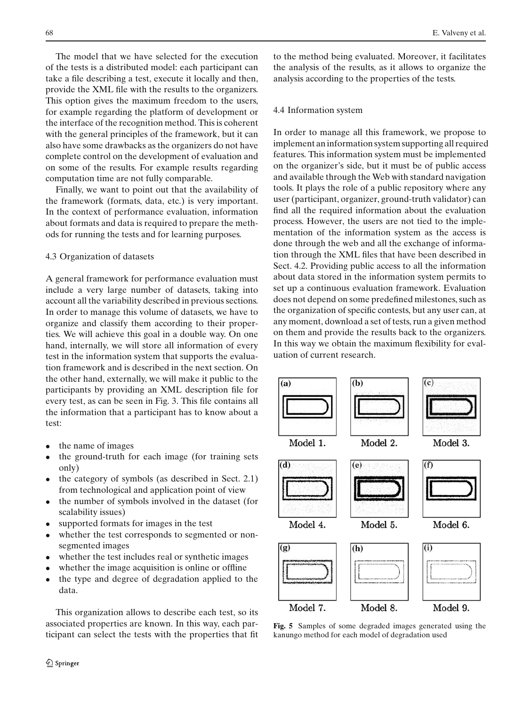The model that we have selected for the execution of the tests is a distributed model: each participant can take a file describing a test, execute it locally and then, provide the XML file with the results to the organizers. This option gives the maximum freedom to the users, for example regarding the platform of development or the interface of the recognition method. This is coherent with the general principles of the framework, but it can also have some drawbacks as the organizers do not have complete control on the development of evaluation and on some of the results. For example results regarding computation time are not fully comparable.

Finally, we want to point out that the availability of the framework (formats, data, etc.) is very important. In the context of performance evaluation, information about formats and data is required to prepare the methods for running the tests and for learning purposes.

## <span id="page-9-0"></span>4.3 Organization of datasets

A general framework for performance evaluation must include a very large number of datasets, taking into account all the variability described in previous sections. In order to manage this volume of datasets, we have to organize and classify them according to their properties. We will achieve this goal in a double way. On one hand, internally, we will store all information of every test in the information system that supports the evaluation framework and is described in the next section. On the other hand, externally, we will make it public to the participants by providing an XML description file for every test, as can be seen in Fig. [3.](#page-8-0) This file contains all the information that a participant has to know about a test:

- the name of images
- the ground-truth for each image (for training sets only)
- the category of symbols (as described in Sect. [2.1\)](#page-2-1) from technological and application point of view
- the number of symbols involved in the dataset (for scalability issues)
- supported formats for images in the test
- whether the test corresponds to segmented or nonsegmented images
- whether the test includes real or synthetic images
- whether the image acquisition is online or offline
- the type and degree of degradation applied to the data.

This organization allows to describe each test, so its associated properties are known. In this way, each participant can select the tests with the properties that fit to the method being evaluated. Moreover, it facilitates the analysis of the results, as it allows to organize the analysis according to the properties of the tests.

#### <span id="page-9-1"></span>4.4 Information system

In order to manage all this framework, we propose to implement an information system supporting all required features. This information system must be implemented on the organizer's side, but it must be of public access and available through the Web with standard navigation tools. It plays the role of a public repository where any user (participant, organizer, ground-truth validator) can find all the required information about the evaluation process. However, the users are not tied to the implementation of the information system as the access is done through the web and all the exchange of information through the XML files that have been described in Sect. [4.2.](#page-7-2) Providing public access to all the information about data stored in the information system permits to set up a continuous evaluation framework. Evaluation does not depend on some predefined milestones, such as the organization of specific contests, but any user can, at any moment, download a set of tests, run a given method on them and provide the results back to the organizers. In this way we obtain the maximum flexibility for evaluation of current research.



<span id="page-9-2"></span>**Fig. 5** Samples of some degraded images generated using the kanungo method for each model of degradation used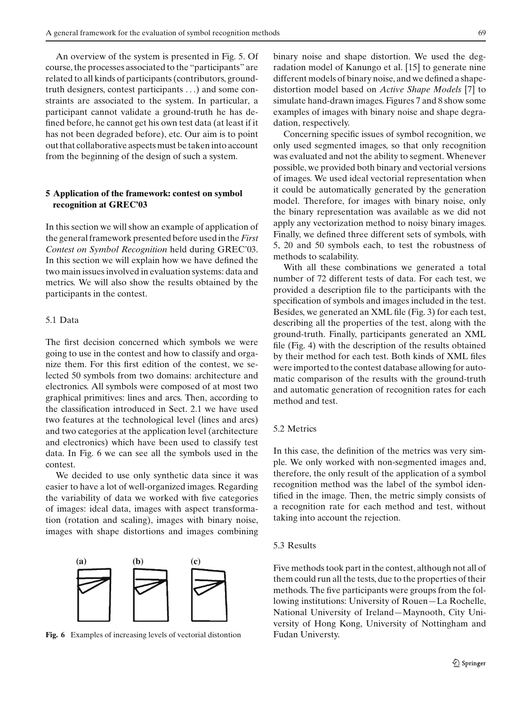An overview of the system is presented in Fig. [5.](#page-9-2) Of course, the processes associated to the "participants" are related to all kinds of participants (contributors, groundtruth designers, contest participants *...*) and some constraints are associated to the system. In particular, a participant cannot validate a ground-truth he has defined before, he cannot get his own test data (at least if it has not been degraded before), etc. Our aim is to point out that collaborative aspects must be taken into account from the beginning of the design of such a system.

# <span id="page-10-0"></span>**5 Application of the framework: contest on symbol recognition at GREC'03**

In this section we will show an example of application of the general framework presented before used in the*First Contest on Symbol Recognition* held during GREC'03. In this section we will explain how we have defined the two main issues involved in evaluation systems: data and metrics. We will also show the results obtained by the participants in the contest.

# 5.1 Data

The first decision concerned which symbols we were going to use in the contest and how to classify and organize them. For this first edition of the contest, we selected 50 symbols from two domains: architecture and electronics. All symbols were composed of at most two graphical primitives: lines and arcs. Then, according to the classification introduced in Sect. [2.1](#page-2-1) we have used two features at the technological level (lines and arcs) and two categories at the application level (architecture and electronics) which have been used to classify test data. In Fig. [6](#page-10-1) we can see all the symbols used in the contest.

We decided to use only synthetic data since it was easier to have a lot of well-organized images. Regarding the variability of data we worked with five categories of images: ideal data, images with aspect transformation (rotation and scaling), images with binary noise, images with shape distortions and images combining



<span id="page-10-1"></span>**Fig. 6** Examples of increasing levels of vectorial distontion

binary noise and shape distortion. We used the degradation model of Kanungo et al. [\[15](#page-15-19)] to generate nine different models of binary noise, and we defined a shapedistortion model based on *Active Shape Models* [\[7\]](#page-15-26) to simulate hand-drawn images. Figures [7](#page-11-0) and [8](#page-12-0) show some examples of images with binary noise and shape degradation, respectively.

Concerning specific issues of symbol recognition, we only used segmented images, so that only recognition was evaluated and not the ability to segment. Whenever possible, we provided both binary and vectorial versions of images. We used ideal vectorial representation when it could be automatically generated by the generation model. Therefore, for images with binary noise, only the binary representation was available as we did not apply any vectorization method to noisy binary images. Finally, we defined three different sets of symbols, with 5, 20 and 50 symbols each, to test the robustness of methods to scalability.

With all these combinations we generated a total number of 72 different tests of data. For each test, we provided a description file to the participants with the specification of symbols and images included in the test. Besides, we generated an XML file (Fig. [3\)](#page-8-0) for each test, describing all the properties of the test, along with the ground-truth. Finally, participants generated an XML file (Fig. [4\)](#page-8-1) with the description of the results obtained by their method for each test. Both kinds of XML files were imported to the contest database allowing for automatic comparison of the results with the ground-truth and automatic generation of recognition rates for each method and test.

# 5.2 Metrics

In this case, the definition of the metrics was very simple. We only worked with non-segmented images and, therefore, the only result of the application of a symbol recognition method was the label of the symbol identified in the image. Then, the metric simply consists of a recognition rate for each method and test, without taking into account the rejection.

## 5.3 Results

Five methods took part in the contest, although not all of them could run all the tests, due to the properties of their methods. The five participants were groups from the following institutions: University of Rouen—La Rochelle, National University of Ireland—Maynooth, City University of Hong Kong, University of Nottingham and Fudan Universty.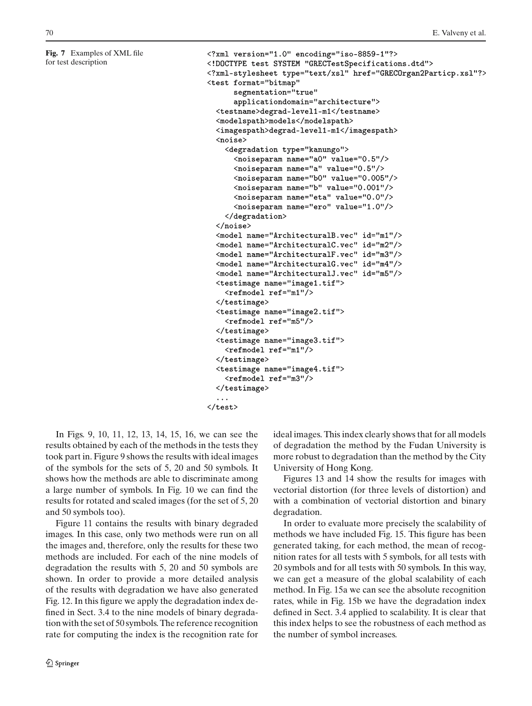```
Fig. 7 Examples of XML file
for test description
```

```
<?xml version="1.0" encoding="iso-8859-1"?>
<!DOCTYPE test SYSTEM "GRECTestSpecifications.dtd">
<?xml-stylesheet type="text/xsl" href="GRECOrgan2Particp.xsl"?>
<test format="bitmap"
      segmentation="true"
      applicationdomain="architecture">
  <testname>degrad-level1-m1</testname>
  <modelspath>models</modelspath>
  <imagespath>degrad-level1-m1</imagespath>
  <noise>
    <degradation type="kanungo">
      <noiseparam name="a0" value="0.5"/>
      <noiseparam name="a" value="0.5"/>
      <noiseparam name="b0" value="0.005"/>
      <noiseparam name="b" value="0.001"/>
      <noiseparam name="eta" value="0.0"/>
      <noiseparam name="ero" value="1.0"/>
    \langle/degradation>
  </noise>
  <model name="ArchitecturalB.vec" id="m1"/>
  <model name="ArchitecturalC.vec" id="m2"/>
  <model name="ArchitecturalF.vec" id="m3"/>
  <model name="ArchitecturalG.vec" id="m4"/>
  <model name="ArchitecturalJ.vec" id="m5"/>
  <testimage name="image1.tif">
    <refmodel ref="m1"/>
  </testimage>
  <testimage name="image2.tif">
    <refmodel ref="m5"/>
  </testimage>
  <testimage name="image3.tif">
    <refmodel ref="m1"/>
  </testimage>
  <testimage name="image4.tif">
    <refmodel ref="m3"/>
  </testimage>
  \cdots\langle/test>
```
In Figs. [9,](#page-12-1) [10,](#page-13-1) [11,](#page-13-2) [12,](#page-13-3) [13,](#page-14-0) [14,](#page-14-1) [15,](#page-14-2) [16,](#page-14-3) we can see the results obtained by each of the methods in the tests they took part in. Figure [9](#page-12-1) shows the results with ideal images of the symbols for the sets of 5, 20 and 50 symbols. It shows how the methods are able to discriminate among a large number of symbols. In Fig. [10](#page-13-1) we can find the results for rotated and scaled images (for the set of 5, 20 and 50 symbols too).

Figure [11](#page-13-2) contains the results with binary degraded images. In this case, only two methods were run on all the images and, therefore, only the results for these two methods are included. For each of the nine models of degradation the results with 5, 20 and 50 symbols are shown. In order to provide a more detailed analysis of the results with degradation we have also generated Fig. [12.](#page-13-3) In this figure we apply the degradation index defined in Sect. [3.4](#page-7-1) to the nine models of binary degradation with the set of 50 symbols. The reference recognition rate for computing the index is the recognition rate for

ideal images. This index clearly shows that for all models of degradation the method by the Fudan University is more robust to degradation than the method by the City University of Hong Kong.

Figures [13](#page-14-0) and [14](#page-14-1) show the results for images with vectorial distortion (for three levels of distortion) and with a combination of vectorial distortion and binary degradation.

In order to evaluate more precisely the scalability of methods we have included Fig. [15.](#page-14-2) This figure has been generated taking, for each method, the mean of recognition rates for all tests with 5 symbols, for all tests with 20 symbols and for all tests with 50 symbols. In this way, we can get a measure of the global scalability of each method. In Fig. [15a](#page-14-2) we can see the absolute recognition rates, while in Fig. [15b](#page-14-2) we have the degradation index defined in Sect. [3.4](#page-7-1) applied to scalability. It is clear that this index helps to see the robustness of each method as the number of symbol increases.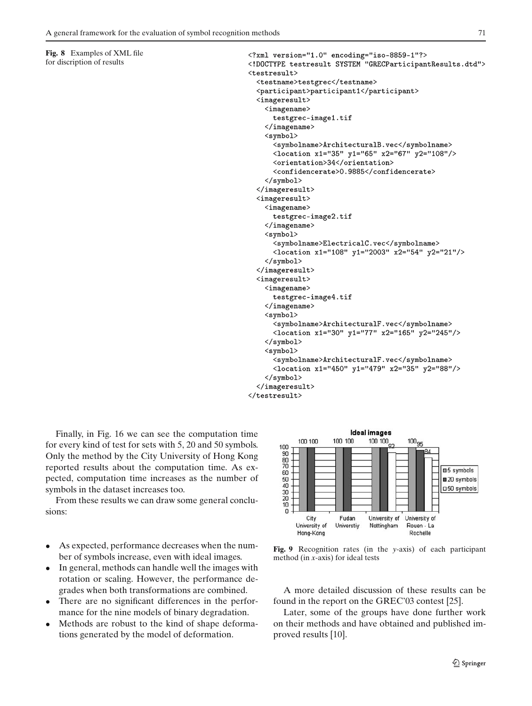<span id="page-12-0"></span>**Fig. 8** Examples of XML file for discription of results



Finally, in Fig. [16](#page-14-3) we can see the computation time for every kind of test for sets with 5, 20 and 50 symbols. Only the method by the City University of Hong Kong reported results about the computation time. As expected, computation time increases as the number of symbols in the dataset increases too.

From these results we can draw some general conclusions:

- As expected, performance decreases when the number of symbols increase, even with ideal images.
- In general, methods can handle well the images with rotation or scaling. However, the performance degrades when both transformations are combined.
- There are no significant differences in the performance for the nine models of binary degradation.
- Methods are robust to the kind of shape deformations generated by the model of deformation.



<span id="page-12-1"></span>**Fig. 9** Recognition rates (in the *y*-axis) of each participant method (in *x*-axis) for ideal tests

A more detailed discussion of these results can be found in the report on the GREC'03 contest [\[25](#page-15-12)].

Later, some of the groups have done further work on their methods and have obtained and published improved results [\[10](#page-15-27)].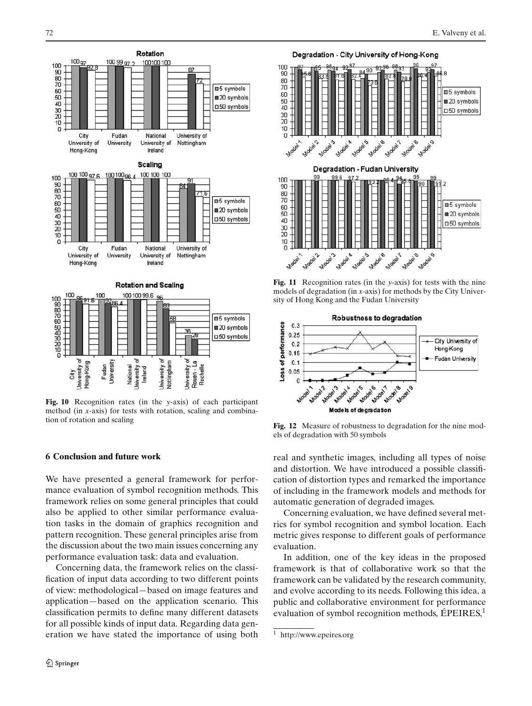

<span id="page-13-1"></span>**Fig. 10** Recognition rates (in the *y*-axis) of each participant method (in *x*-axis) for tests with rotation, scaling and combination of rotation and scaling

# <span id="page-13-0"></span>**6 Conclusion and future work**

We have presented a general framework for performance evaluation of symbol recognition methods. This framework relies on some general principles that could also be applied to other similar performance evaluation tasks in the domain of graphics recognition and pattern recognition. These general principles arise from the discussion about the two main issues concerning any performance evaluation task: data and evaluation.

Concerning data, the framework relies on the classification of input data according to two different points of view: methodological—based on image features and application—based on the application scenario. This classification permits to define many different datasets for all possible kinds of input data. Regarding data generation we have stated the importance of using both



<span id="page-13-2"></span>**Fig. 11** Recognition rates (in the *y*-axis) for tests with the nine models of degradation (in *x*-axis) for methods by the City University of Hong Kong and the Fudan University



<span id="page-13-3"></span>**Fig. 12** Measure of robustness to degradation for the nine models of degradation with 50 symbols

real and synthetic images, including all types of noise and distortion. We have introduced a possible classification of distortion types and remarked the importance of including in the framework models and methods for automatic generation of degraded images.

Concerning evaluation, we have defined several metrics for symbol recognition and symbol location. Each metric gives response to different goals of performance evaluation.

In addition, one of the key ideas in the proposed framework is that of collaborative work so that the framework can be validated by the research community, and evolve according to its needs. Following this idea, a public and collaborative environment for performance evaluation of symbol recognition methods,  $EPEIRES<sub>1</sub>$  $EPEIRES<sub>1</sub>$  $EPEIRES<sub>1</sub>$ 

<span id="page-13-4"></span><sup>1</sup> http://www.epeires.org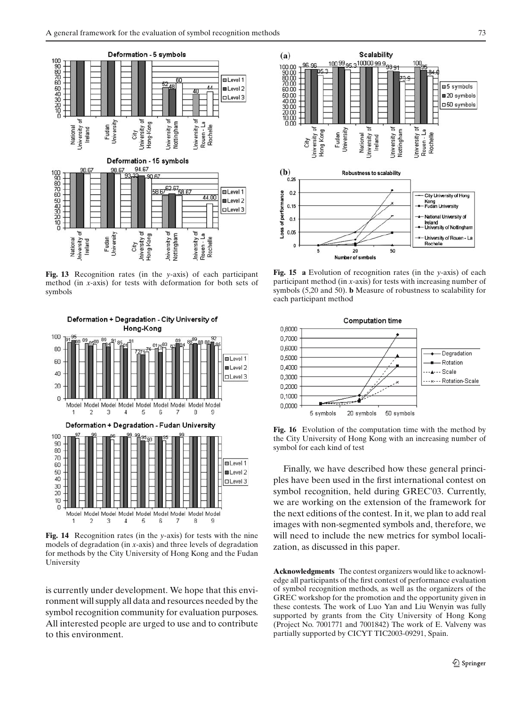

<span id="page-14-0"></span>**Fig. 13** Recognition rates (in the *y*-axis) of each participant method (in *x*-axis) for tests with deformation for both sets of symbols



<span id="page-14-1"></span>**Fig. 14** Recognition rates (in the *y*-axis) for tests with the nine models of degradation (in *x*-axis) and three levels of degradation for methods by the City University of Hong Kong and the Fudan University

is currently under development. We hope that this environment will supply all data and resources needed by the symbol recognition community for evaluation purposes. All interested people are urged to use and to contribute to this environment.



<span id="page-14-2"></span>**Fig. 15 a** Evolution of recognition rates (in the *y*-axis) of each participant method (in *x*-axis) for tests with increasing number of symbols (5,20 and 50). **b** Measure of robustness to scalability for each participant method



<span id="page-14-3"></span>**Fig. 16** Evolution of the computation time with the method by the City University of Hong Kong with an increasing number of symbol for each kind of test

Finally, we have described how these general principles have been used in the first international contest on symbol recognition, held during GREC'03. Currently, we are working on the extension of the framework for the next editions of the contest. In it, we plan to add real images with non-segmented symbols and, therefore, we will need to include the new metrics for symbol localization, as discussed in this paper.

**Acknowledgments** The contest organizers would like to acknowledge all participants of the first contest of performance evaluation of symbol recognition methods, as well as the organizers of the GREC workshop for the promotion and the opportunity given in these contests. The work of Luo Yan and Liu Wenyin was fully supported by grants from the City University of Hong Kong (Project No. 7001771 and 7001842) The work of E. Valveny was partially supported by CICYT TIC2003-09291, Spain.